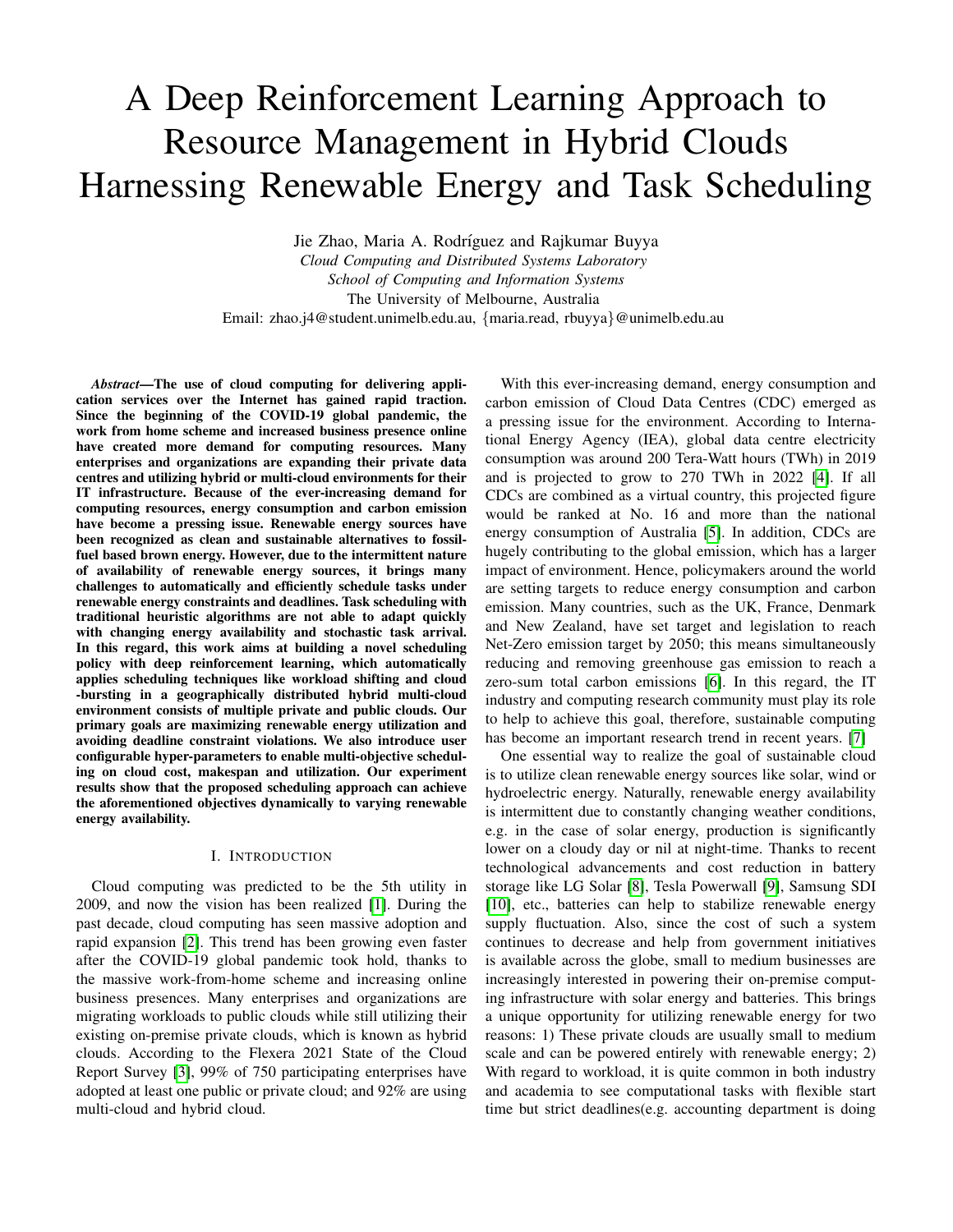# A Deep Reinforcement Learning Approach to Resource Management in Hybrid Clouds Harnessing Renewable Energy and Task Scheduling

Jie Zhao, Maria A. Rodríguez and Rajkumar Buyya *Cloud Computing and Distributed Systems Laboratory School of Computing and Information Systems* The University of Melbourne, Australia Email: zhao.j4@student.unimelb.edu.au, {maria.read, rbuyya}@unimelb.edu.au

*Abstract*—The use of cloud computing for delivering application services over the Internet has gained rapid traction. Since the beginning of the COVID-19 global pandemic, the work from home scheme and increased business presence online have created more demand for computing resources. Many enterprises and organizations are expanding their private data centres and utilizing hybrid or multi-cloud environments for their IT infrastructure. Because of the ever-increasing demand for computing resources, energy consumption and carbon emission have become a pressing issue. Renewable energy sources have been recognized as clean and sustainable alternatives to fossilfuel based brown energy. However, due to the intermittent nature of availability of renewable energy sources, it brings many challenges to automatically and efficiently schedule tasks under renewable energy constraints and deadlines. Task scheduling with traditional heuristic algorithms are not able to adapt quickly with changing energy availability and stochastic task arrival. In this regard, this work aims at building a novel scheduling policy with deep reinforcement learning, which automatically applies scheduling techniques like workload shifting and cloud -bursting in a geographically distributed hybrid multi-cloud environment consists of multiple private and public clouds. Our primary goals are maximizing renewable energy utilization and avoiding deadline constraint violations. We also introduce user configurable hyper-parameters to enable multi-objective scheduling on cloud cost, makespan and utilization. Our experiment results show that the proposed scheduling approach can achieve the aforementioned objectives dynamically to varying renewable energy availability.

## I. INTRODUCTION

Cloud computing was predicted to be the 5th utility in 2009, and now the vision has been realized [\[1\]](#page-8-0). During the past decade, cloud computing has seen massive adoption and rapid expansion [\[2\]](#page-8-1). This trend has been growing even faster after the COVID-19 global pandemic took hold, thanks to the massive work-from-home scheme and increasing online business presences. Many enterprises and organizations are migrating workloads to public clouds while still utilizing their existing on-premise private clouds, which is known as hybrid clouds. According to the Flexera 2021 State of the Cloud Report Survey [\[3\]](#page-8-2), 99% of 750 participating enterprises have adopted at least one public or private cloud; and 92% are using multi-cloud and hybrid cloud.

With this ever-increasing demand, energy consumption and carbon emission of Cloud Data Centres (CDC) emerged as a pressing issue for the environment. According to International Energy Agency (IEA), global data centre electricity consumption was around 200 Tera-Watt hours (TWh) in 2019 and is projected to grow to 270 TWh in 2022 [\[4\]](#page-8-3). If all CDCs are combined as a virtual country, this projected figure would be ranked at No. 16 and more than the national energy consumption of Australia [\[5\]](#page-8-4). In addition, CDCs are hugely contributing to the global emission, which has a larger impact of environment. Hence, policymakers around the world are setting targets to reduce energy consumption and carbon emission. Many countries, such as the UK, France, Denmark and New Zealand, have set target and legislation to reach Net-Zero emission target by 2050; this means simultaneously reducing and removing greenhouse gas emission to reach a zero-sum total carbon emissions [\[6\]](#page-8-5). In this regard, the IT industry and computing research community must play its role to help to achieve this goal, therefore, sustainable computing has become an important research trend in recent years. [\[7\]](#page-8-6)

One essential way to realize the goal of sustainable cloud is to utilize clean renewable energy sources like solar, wind or hydroelectric energy. Naturally, renewable energy availability is intermittent due to constantly changing weather conditions, e.g. in the case of solar energy, production is significantly lower on a cloudy day or nil at night-time. Thanks to recent technological advancements and cost reduction in battery storage like LG Solar [\[8\]](#page-8-7), Tesla Powerwall [\[9\]](#page-8-8), Samsung SDI [\[10\]](#page-8-9), etc., batteries can help to stabilize renewable energy supply fluctuation. Also, since the cost of such a system continues to decrease and help from government initiatives is available across the globe, small to medium businesses are increasingly interested in powering their on-premise computing infrastructure with solar energy and batteries. This brings a unique opportunity for utilizing renewable energy for two reasons: 1) These private clouds are usually small to medium scale and can be powered entirely with renewable energy; 2) With regard to workload, it is quite common in both industry and academia to see computational tasks with flexible start time but strict deadlines(e.g. accounting department is doing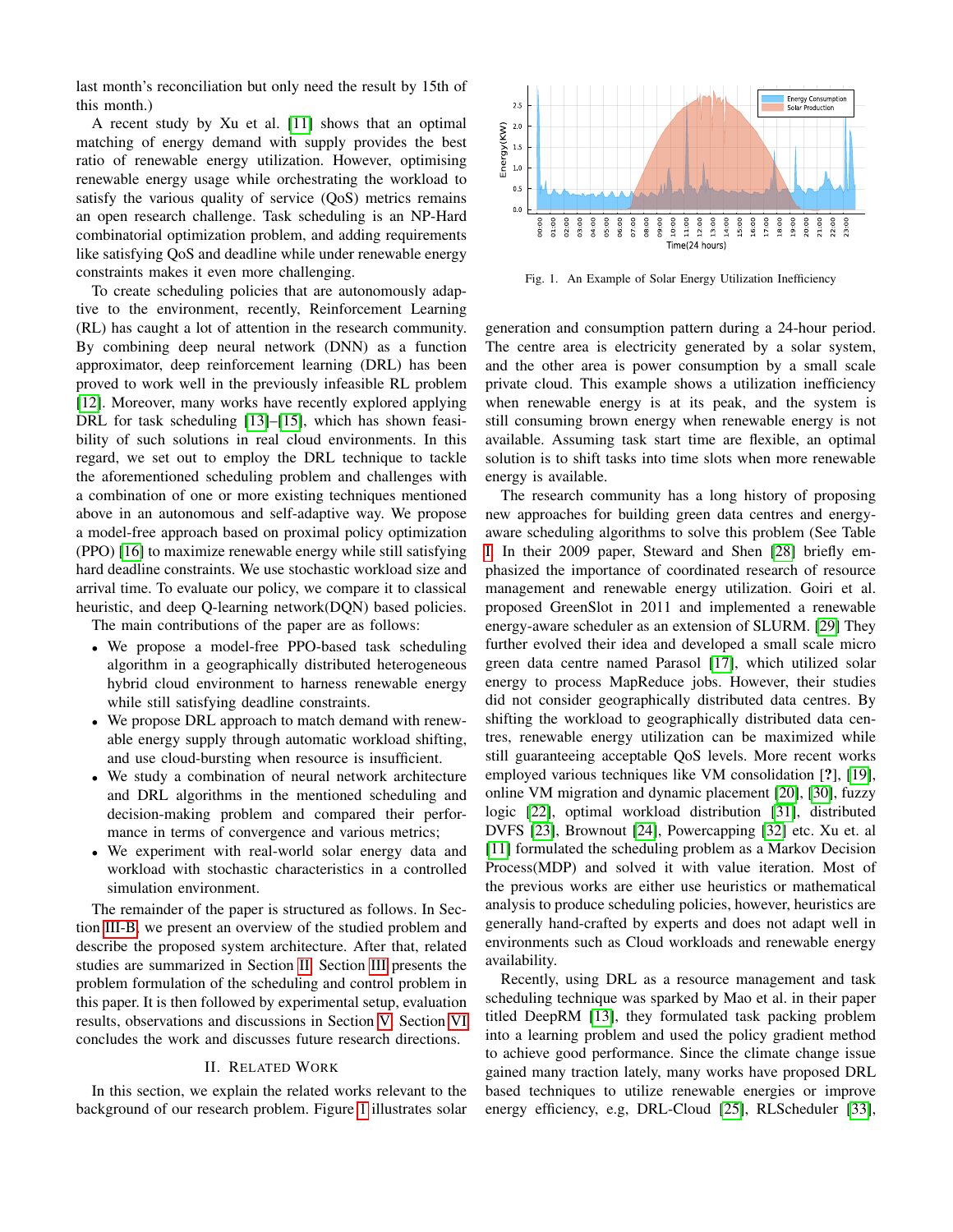last month's reconciliation but only need the result by 15th of this month.)

A recent study by Xu et al. [\[11\]](#page-8-10) shows that an optimal matching of energy demand with supply provides the best ratio of renewable energy utilization. However, optimising renewable energy usage while orchestrating the workload to satisfy the various quality of service (QoS) metrics remains an open research challenge. Task scheduling is an NP-Hard combinatorial optimization problem, and adding requirements like satisfying QoS and deadline while under renewable energy constraints makes it even more challenging.

To create scheduling policies that are autonomously adaptive to the environment, recently, Reinforcement Learning (RL) has caught a lot of attention in the research community. By combining deep neural network (DNN) as a function approximator, deep reinforcement learning (DRL) has been proved to work well in the previously infeasible RL problem [\[12\]](#page-8-11). Moreover, many works have recently explored applying DRL for task scheduling [\[13\]](#page-8-12)–[\[15\]](#page-8-13), which has shown feasibility of such solutions in real cloud environments. In this regard, we set out to employ the DRL technique to tackle the aforementioned scheduling problem and challenges with a combination of one or more existing techniques mentioned above in an autonomous and self-adaptive way. We propose a model-free approach based on proximal policy optimization (PPO) [\[16\]](#page-8-14) to maximize renewable energy while still satisfying hard deadline constraints. We use stochastic workload size and arrival time. To evaluate our policy, we compare it to classical heuristic, and deep Q-learning network(DQN) based policies.

The main contributions of the paper are as follows:

- We propose a model-free PPO-based task scheduling algorithm in a geographically distributed heterogeneous hybrid cloud environment to harness renewable energy while still satisfying deadline constraints.
- We propose DRL approach to match demand with renewable energy supply through automatic workload shifting, and use cloud-bursting when resource is insufficient.
- We study a combination of neural network architecture and DRL algorithms in the mentioned scheduling and decision-making problem and compared their performance in terms of convergence and various metrics;
- We experiment with real-world solar energy data and workload with stochastic characteristics in a controlled simulation environment.

The remainder of the paper is structured as follows. In Section [III-B,](#page-3-0) we present an overview of the studied problem and describe the proposed system architecture. After that, related studies are summarized in Section [II.](#page-1-0) Section [III](#page-2-0) presents the problem formulation of the scheduling and control problem in this paper. It is then followed by experimental setup, evaluation results, observations and discussions in Section [V.](#page-5-0) Section [VI](#page-7-0) concludes the work and discusses future research directions.

## II. RELATED WORK

<span id="page-1-0"></span>In this section, we explain the related works relevant to the background of our research problem. Figure [1](#page-1-1) illustrates solar



<span id="page-1-1"></span>Fig. 1. An Example of Solar Energy Utilization Inefficiency

generation and consumption pattern during a 24-hour period. The centre area is electricity generated by a solar system, and the other area is power consumption by a small scale private cloud. This example shows a utilization inefficiency when renewable energy is at its peak, and the system is still consuming brown energy when renewable energy is not available. Assuming task start time are flexible, an optimal solution is to shift tasks into time slots when more renewable energy is available.

The research community has a long history of proposing new approaches for building green data centres and energyaware scheduling algorithms to solve this problem (See Table [I.](#page-2-1) In their 2009 paper, Steward and Shen [\[28\]](#page-8-15) briefly emphasized the importance of coordinated research of resource management and renewable energy utilization. Goiri et al. proposed GreenSlot in 2011 and implemented a renewable energy-aware scheduler as an extension of SLURM. [\[29\]](#page-8-16) They further evolved their idea and developed a small scale micro green data centre named Parasol [\[17\]](#page-8-17), which utilized solar energy to process MapReduce jobs. However, their studies did not consider geographically distributed data centres. By shifting the workload to geographically distributed data centres, renewable energy utilization can be maximized while still guaranteeing acceptable QoS levels. More recent works employed various techniques like VM consolidation [?], [\[19\]](#page-8-18), online VM migration and dynamic placement [\[20\]](#page-8-19), [\[30\]](#page-8-20), fuzzy logic [\[22\]](#page-8-21), optimal workload distribution [\[31\]](#page-8-22), distributed DVFS [\[23\]](#page-8-23), Brownout [\[24\]](#page-8-24), Powercapping [\[32\]](#page-8-25) etc. Xu et. al [\[11\]](#page-8-10) formulated the scheduling problem as a Markov Decision Process(MDP) and solved it with value iteration. Most of the previous works are either use heuristics or mathematical analysis to produce scheduling policies, however, heuristics are generally hand-crafted by experts and does not adapt well in environments such as Cloud workloads and renewable energy availability.

Recently, using DRL as a resource management and task scheduling technique was sparked by Mao et al. in their paper titled DeepRM [\[13\]](#page-8-12), they formulated task packing problem into a learning problem and used the policy gradient method to achieve good performance. Since the climate change issue gained many traction lately, many works have proposed DRL based techniques to utilize renewable energies or improve energy efficiency, e.g, DRL-Cloud [\[25\]](#page-8-26), RLScheduler [\[33\]](#page-8-27),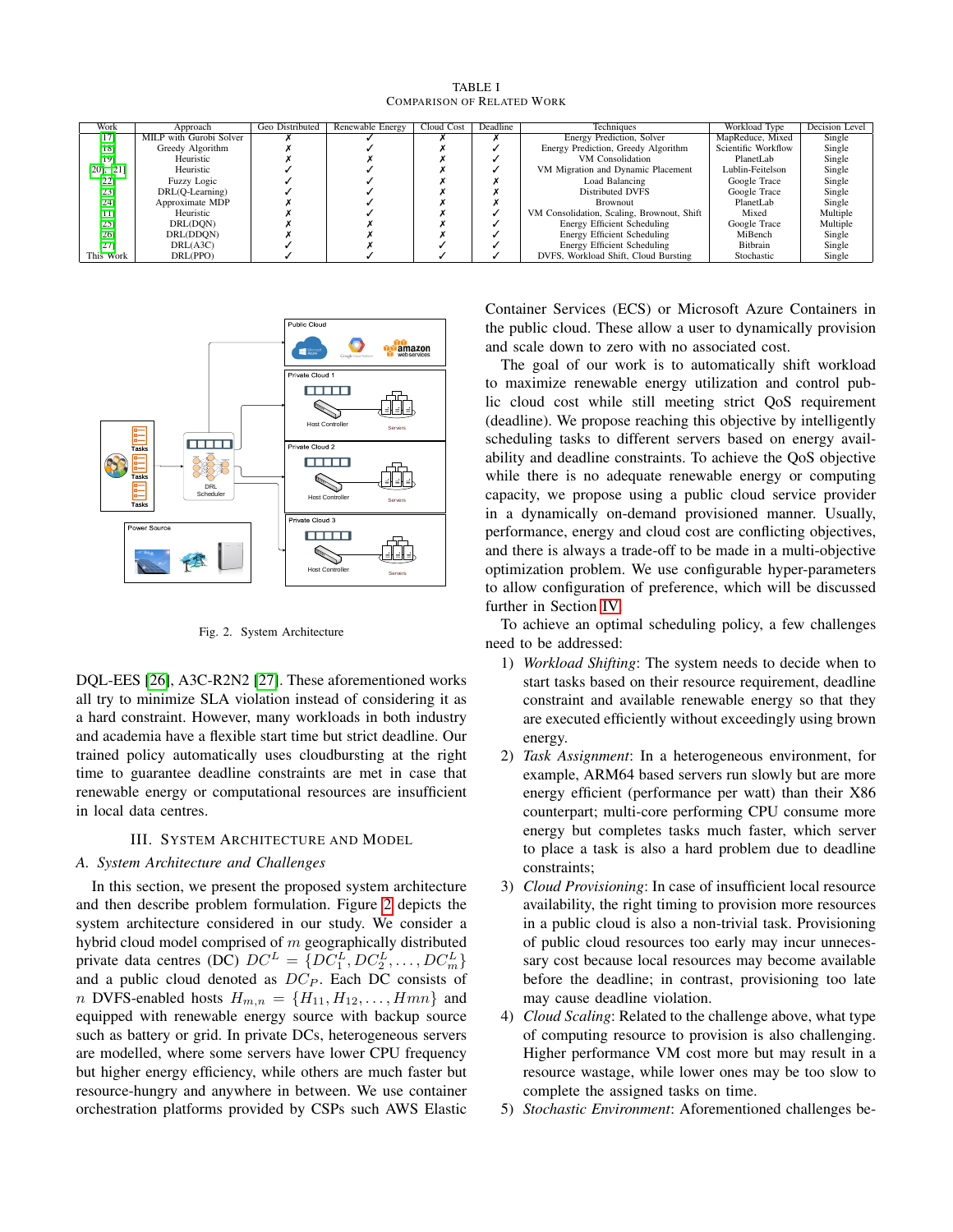TABLE I COMPARISON OF RELATED WORK

<span id="page-2-1"></span>

| Work            | Approach                | Geo Distributed | Renewable Energy | Deadline<br>Cloud Cost |  | Techniques                                 | Workload Type       | Decision Level |
|-----------------|-------------------------|-----------------|------------------|------------------------|--|--------------------------------------------|---------------------|----------------|
| [17]            | MILP with Gurobi Solver |                 |                  |                        |  | Energy Prediction, Solver                  | MapReduce, Mixed    | Single         |
| $[18]$          | Greedy Algorithm        |                 |                  |                        |  | Energy Prediction, Greedy Algorithm        | Scientific Workflow | Single         |
| $[19]$          | Heuristic               |                 |                  |                        |  | VM Consolidation                           | PlanetLab           | Single         |
| $[20]$ , $[21]$ | Heuristic               |                 |                  |                        |  | VM Migration and Dynamic Placement         | Lublin-Feitelson    | Single         |
| $[22]$          | Fuzzy Logic             |                 |                  |                        |  | Load Balancing                             | Google Trace        | Single         |
| $[23]$          | DRL(Q-Learning)         |                 |                  |                        |  | Distributed DVFS                           | Google Trace        | Single         |
| $[24]$          | Approximate MDP         |                 |                  |                        |  | Brownout                                   | PlanetLab           | Single         |
| $[11]$          | Heuristic               |                 |                  |                        |  | VM Consolidation, Scaling, Brownout, Shift | Mixed               | Multiple       |
| [25]            | DRL(DON)                |                 |                  |                        |  | Energy Efficient Scheduling                | Google Trace        | Multiple       |
| [26]            | DRL(DDON)               |                 |                  |                        |  | Energy Efficient Scheduling                | MiBench             | Single         |
| $[27]$          | DRL(A3C)                |                 |                  |                        |  | Energy Efficient Scheduling                | Bitbrain            | Single         |
| This Work       | DRL(PPO)                |                 |                  |                        |  | DVFS, Workload Shift, Cloud Bursting       | Stochastic          | Single         |



<span id="page-2-2"></span>Fig. 2. System Architecture

DQL-EES [\[26\]](#page-8-30), A3C-R2N2 [\[27\]](#page-8-31). These aforementioned works all try to minimize SLA violation instead of considering it as a hard constraint. However, many workloads in both industry and academia have a flexible start time but strict deadline. Our trained policy automatically uses cloudbursting at the right time to guarantee deadline constraints are met in case that renewable energy or computational resources are insufficient in local data centres.

#### III. SYSTEM ARCHITECTURE AND MODEL

# <span id="page-2-0"></span>*A. System Architecture and Challenges*

In this section, we present the proposed system architecture and then describe problem formulation. Figure [2](#page-2-2) depicts the system architecture considered in our study. We consider a hybrid cloud model comprised of  $m$  geographically distributed private data centres (DC)  $DC^L = \{DC_1^L, DC_2^L, ..., DC_m^L\}$ and a public cloud denoted as  $DC_P$ . Each DC consists of n DVFS-enabled hosts  $H_{m,n} = \{H_{11}, H_{12}, \ldots, Hmn\}$  and equipped with renewable energy source with backup source such as battery or grid. In private DCs, heterogeneous servers are modelled, where some servers have lower CPU frequency but higher energy efficiency, while others are much faster but resource-hungry and anywhere in between. We use container orchestration platforms provided by CSPs such AWS Elastic

Container Services (ECS) or Microsoft Azure Containers in the public cloud. These allow a user to dynamically provision and scale down to zero with no associated cost.

The goal of our work is to automatically shift workload to maximize renewable energy utilization and control public cloud cost while still meeting strict QoS requirement (deadline). We propose reaching this objective by intelligently scheduling tasks to different servers based on energy availability and deadline constraints. To achieve the QoS objective while there is no adequate renewable energy or computing capacity, we propose using a public cloud service provider in a dynamically on-demand provisioned manner. Usually, performance, energy and cloud cost are conflicting objectives, and there is always a trade-off to be made in a multi-objective optimization problem. We use configurable hyper-parameters to allow configuration of preference, which will be discussed further in Section [IV.](#page-4-0)

To achieve an optimal scheduling policy, a few challenges need to be addressed:

- 1) *Workload Shifting*: The system needs to decide when to start tasks based on their resource requirement, deadline constraint and available renewable energy so that they are executed efficiently without exceedingly using brown energy.
- 2) *Task Assignment*: In a heterogeneous environment, for example, ARM64 based servers run slowly but are more energy efficient (performance per watt) than their X86 counterpart; multi-core performing CPU consume more energy but completes tasks much faster, which server to place a task is also a hard problem due to deadline constraints;
- 3) *Cloud Provisioning*: In case of insufficient local resource availability, the right timing to provision more resources in a public cloud is also a non-trivial task. Provisioning of public cloud resources too early may incur unnecessary cost because local resources may become available before the deadline; in contrast, provisioning too late may cause deadline violation.
- 4) *Cloud Scaling*: Related to the challenge above, what type of computing resource to provision is also challenging. Higher performance VM cost more but may result in a resource wastage, while lower ones may be too slow to complete the assigned tasks on time.
- 5) *Stochastic Environment*: Aforementioned challenges be-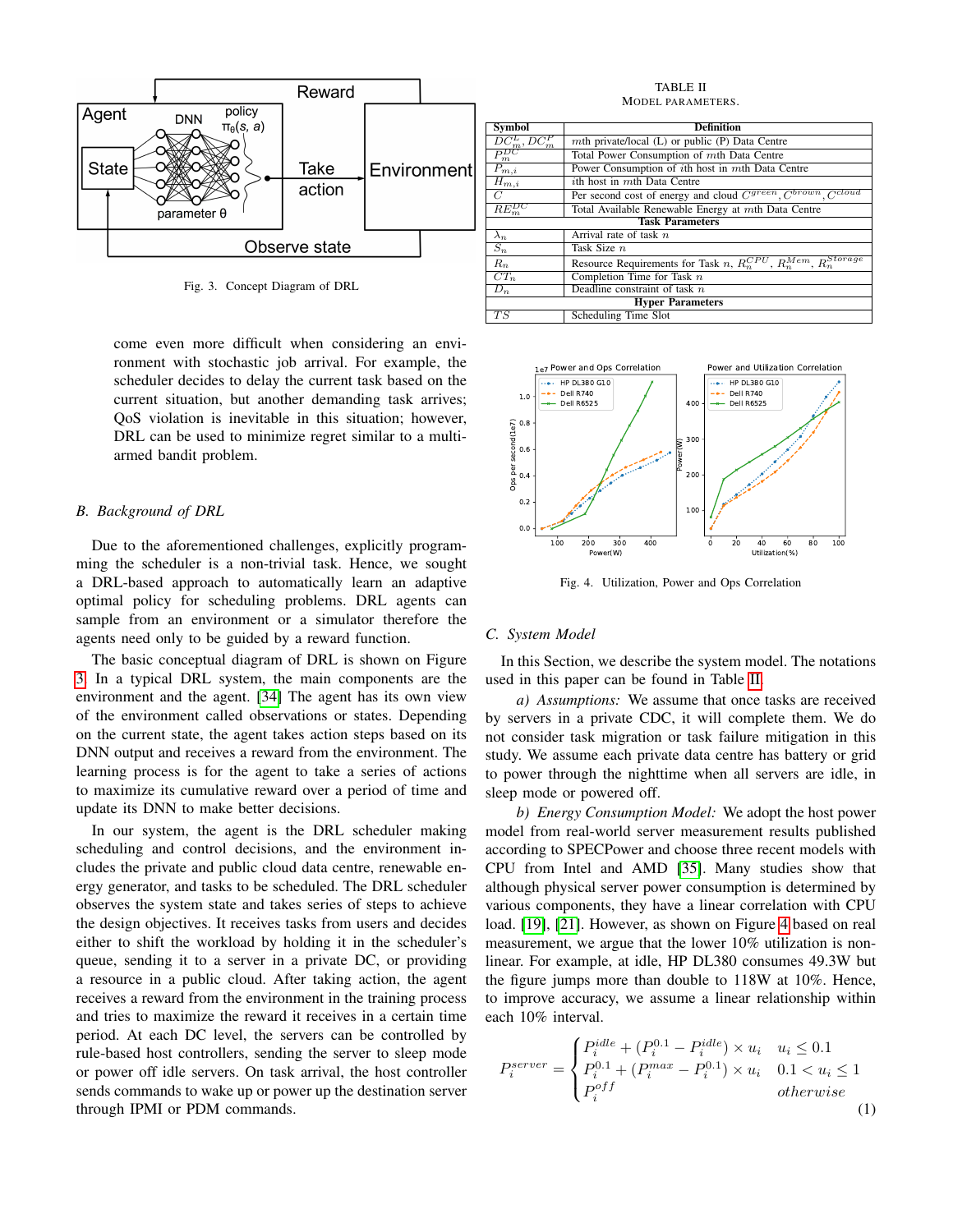

<span id="page-3-1"></span>Fig. 3. Concept Diagram of DRL

come even more difficult when considering an environment with stochastic job arrival. For example, the scheduler decides to delay the current task based on the current situation, but another demanding task arrives; QoS violation is inevitable in this situation; however, DRL can be used to minimize regret similar to a multiarmed bandit problem.

# <span id="page-3-0"></span>*B. Background of DRL*

Due to the aforementioned challenges, explicitly programming the scheduler is a non-trivial task. Hence, we sought a DRL-based approach to automatically learn an adaptive optimal policy for scheduling problems. DRL agents can sample from an environment or a simulator therefore the agents need only to be guided by a reward function.

The basic conceptual diagram of DRL is shown on Figure [3.](#page-3-1) In a typical DRL system, the main components are the environment and the agent. [\[34\]](#page-8-32) The agent has its own view of the environment called observations or states. Depending on the current state, the agent takes action steps based on its DNN output and receives a reward from the environment. The learning process is for the agent to take a series of actions to maximize its cumulative reward over a period of time and update its DNN to make better decisions.

In our system, the agent is the DRL scheduler making scheduling and control decisions, and the environment includes the private and public cloud data centre, renewable energy generator, and tasks to be scheduled. The DRL scheduler observes the system state and takes series of steps to achieve the design objectives. It receives tasks from users and decides either to shift the workload by holding it in the scheduler's queue, sending it to a server in a private DC, or providing a resource in a public cloud. After taking action, the agent receives a reward from the environment in the training process and tries to maximize the reward it receives in a certain time period. At each DC level, the servers can be controlled by rule-based host controllers, sending the server to sleep mode or power off idle servers. On task arrival, the host controller sends commands to wake up or power up the destination server through IPMI or PDM commands.

TABLE II MODEL PARAMETERS.

<span id="page-3-2"></span>

| <b>Symbol</b>                                                                                          | <b>Definition</b>                                                             |  |  |  |  |  |  |  |
|--------------------------------------------------------------------------------------------------------|-------------------------------------------------------------------------------|--|--|--|--|--|--|--|
| $\frac{DC_m^L,DC_m^P}{P_m^{DC}}$                                                                       | mth private/local $(L)$ or public $(P)$ Data Centre                           |  |  |  |  |  |  |  |
|                                                                                                        | Total Power Consumption of mth Data Centre                                    |  |  |  |  |  |  |  |
| Power Consumption of ith host in mth Data Centre<br>$P_{m,i}$                                          |                                                                               |  |  |  |  |  |  |  |
| <i>i</i> th host in mth Data Centre<br>$\overline{H}_{m,i}$                                            |                                                                               |  |  |  |  |  |  |  |
| Per second cost of energy and cloud C <sup>green</sup> , C <sup>brown</sup> , Ccloud<br>$\overline{C}$ |                                                                               |  |  |  |  |  |  |  |
| $RE_m^{DC}$<br>Total Available Renewable Energy at mth Data Centre                                     |                                                                               |  |  |  |  |  |  |  |
| <b>Task Parameters</b>                                                                                 |                                                                               |  |  |  |  |  |  |  |
| $\lambda_n$                                                                                            | Arrival rate of task $n$                                                      |  |  |  |  |  |  |  |
| $S_n$                                                                                                  | Task Size n                                                                   |  |  |  |  |  |  |  |
| $R_n$                                                                                                  | Resource Requirements for Task n, $R_n^{CPU}$ , $R_n^{Mem}$ , $R_n^{Storage}$ |  |  |  |  |  |  |  |
| $CT_n$                                                                                                 | Completion Time for Task $n$                                                  |  |  |  |  |  |  |  |
| Deadline constraint of task $n$<br>$D_n$                                                               |                                                                               |  |  |  |  |  |  |  |
| <b>Hyper Parameters</b>                                                                                |                                                                               |  |  |  |  |  |  |  |
| TS                                                                                                     | Scheduling Time Slot                                                          |  |  |  |  |  |  |  |



<span id="page-3-3"></span>Fig. 4. Utilization, Power and Ops Correlation

#### *C. System Model*

In this Section, we describe the system model. The notations used in this paper can be found in Table [II.](#page-3-2)

*a) Assumptions:* We assume that once tasks are received by servers in a private CDC, it will complete them. We do not consider task migration or task failure mitigation in this study. We assume each private data centre has battery or grid to power through the nighttime when all servers are idle, in sleep mode or powered off.

*b) Energy Consumption Model:* We adopt the host power model from real-world server measurement results published according to SPECPower and choose three recent models with CPU from Intel and AMD [\[35\]](#page-8-33). Many studies show that although physical server power consumption is determined by various components, they have a linear correlation with CPU load. [\[19\]](#page-8-18), [\[21\]](#page-8-29). However, as shown on Figure [4](#page-3-3) based on real measurement, we argue that the lower 10% utilization is nonlinear. For example, at idle, HP DL380 consumes 49.3W but the figure jumps more than double to 118W at 10%. Hence, to improve accuracy, we assume a linear relationship within each 10% interval.

$$
P_i^{server} = \begin{cases} P_i^{idle} + (P_i^{0.1} - P_i^{idle}) \times u_i & u_i \le 0.1\\ P_i^{0.1} + (P_i^{max} - P_i^{0.1}) \times u_i & 0.1 < u_i \le 1\\ P_i^{off} & otherwise \end{cases} \tag{1}
$$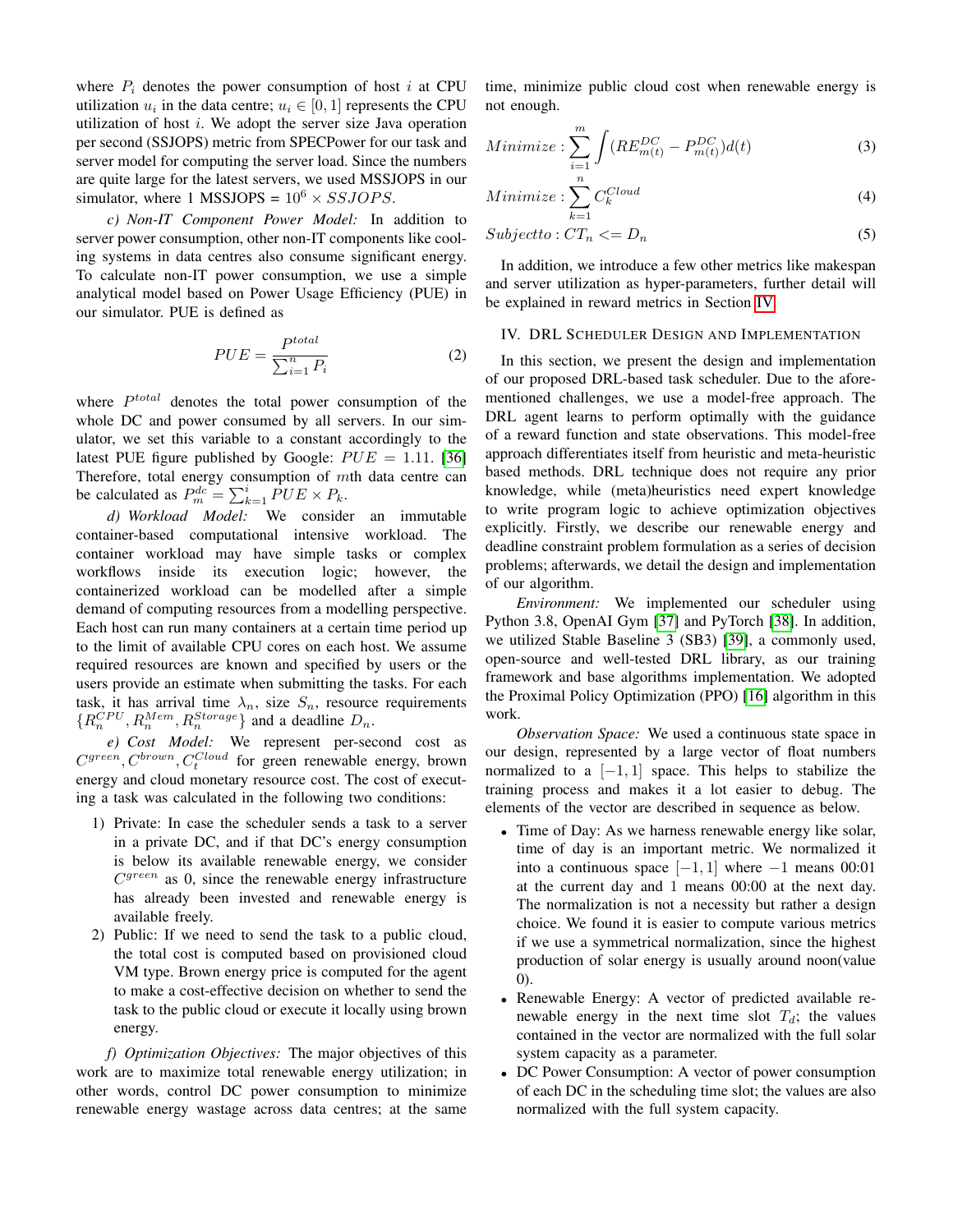where  $P_i$  denotes the power consumption of host i at CPU utilization  $u_i$  in the data centre;  $u_i \in [0, 1]$  represents the CPU utilization of host  $i$ . We adopt the server size Java operation per second (SSJOPS) metric from SPECPower for our task and server model for computing the server load. Since the numbers are quite large for the latest servers, we used MSSJOPS in our simulator, where 1 MSSJOPS =  $10^6 \times SSJOPS$ .

*c) Non-IT Component Power Model:* In addition to server power consumption, other non-IT components like cooling systems in data centres also consume significant energy. To calculate non-IT power consumption, we use a simple analytical model based on Power Usage Efficiency (PUE) in our simulator. PUE is defined as

$$
PUE = \frac{P^{total}}{\sum_{i=1}^{n} P_i}
$$
 (2)

where  $P^{total}$  denotes the total power consumption of the whole DC and power consumed by all servers. In our simulator, we set this variable to a constant accordingly to the latest PUE figure published by Google:  $PUE = 1.11$ . [\[36\]](#page-8-34) Therefore, total energy consumption of mth data centre can be calculated as  $P_m^{dc} = \sum_{k=1}^{i} \overline{P} U E \times P_k$ .

*d) Workload Model:* We consider an immutable container-based computational intensive workload. The container workload may have simple tasks or complex workflows inside its execution logic; however, the containerized workload can be modelled after a simple demand of computing resources from a modelling perspective. Each host can run many containers at a certain time period up to the limit of available CPU cores on each host. We assume required resources are known and specified by users or the users provide an estimate when submitting the tasks. For each task, it has arrival time  $\lambda_n$ , size  $S_n$ , resource requirements  ${R_n^{CPU}, R_n^{Mem}, R_n^{Storage} }$  and a deadline  $D_n$ .

*e) Cost Model:* We represent per-second cost as  $C^{green}$ ,  $C^{brown}$ ,  $C^{Cloud}_{t}$  for green renewable energy, brown energy and cloud monetary resource cost. The cost of executing a task was calculated in the following two conditions:

- 1) Private: In case the scheduler sends a task to a server in a private DC, and if that DC's energy consumption is below its available renewable energy, we consider  $C<sup>green</sup>$  as 0, since the renewable energy infrastructure has already been invested and renewable energy is available freely.
- 2) Public: If we need to send the task to a public cloud, the total cost is computed based on provisioned cloud VM type. Brown energy price is computed for the agent to make a cost-effective decision on whether to send the task to the public cloud or execute it locally using brown energy.

*f) Optimization Objectives:* The major objectives of this work are to maximize total renewable energy utilization; in other words, control DC power consumption to minimize renewable energy wastage across data centres; at the same time, minimize public cloud cost when renewable energy is not enough.

$$
Minimize: \sum_{i=1}^{m} \int (RE_{m(t)}^{DC} - P_{m(t)}^{DC}) d(t)
$$
 (3)

$$
Minimize: \sum_{k=1}^{n} C_k^{Cloud} \tag{4}
$$

$$
Subject to: CT_n \leq D_n \tag{5}
$$

In addition, we introduce a few other metrics like makespan and server utilization as hyper-parameters, further detail will be explained in reward metrics in Section [IV.](#page-4-0)

# <span id="page-4-0"></span>IV. DRL SCHEDULER DESIGN AND IMPLEMENTATION

In this section, we present the design and implementation of our proposed DRL-based task scheduler. Due to the aforementioned challenges, we use a model-free approach. The DRL agent learns to perform optimally with the guidance of a reward function and state observations. This model-free approach differentiates itself from heuristic and meta-heuristic based methods. DRL technique does not require any prior knowledge, while (meta)heuristics need expert knowledge to write program logic to achieve optimization objectives explicitly. Firstly, we describe our renewable energy and deadline constraint problem formulation as a series of decision problems; afterwards, we detail the design and implementation of our algorithm.

*Environment:* We implemented our scheduler using Python 3.8, OpenAI Gym [\[37\]](#page-8-35) and PyTorch [\[38\]](#page-9-0). In addition, we utilized Stable Baseline 3 (SB3) [\[39\]](#page-9-1), a commonly used, open-source and well-tested DRL library, as our training framework and base algorithms implementation. We adopted the Proximal Policy Optimization (PPO) [\[16\]](#page-8-14) algorithm in this work.

*Observation Space:* We used a continuous state space in our design, represented by a large vector of float numbers normalized to a  $[-1, 1]$  space. This helps to stabilize the training process and makes it a lot easier to debug. The elements of the vector are described in sequence as below.

- Time of Day: As we harness renewable energy like solar, time of day is an important metric. We normalized it into a continuous space  $[-1, 1]$  where  $-1$  means 00:01 at the current day and 1 means 00:00 at the next day. The normalization is not a necessity but rather a design choice. We found it is easier to compute various metrics if we use a symmetrical normalization, since the highest production of solar energy is usually around noon(value 0).
- Renewable Energy: A vector of predicted available renewable energy in the next time slot  $T_d$ ; the values contained in the vector are normalized with the full solar system capacity as a parameter.
- DC Power Consumption: A vector of power consumption of each DC in the scheduling time slot; the values are also normalized with the full system capacity.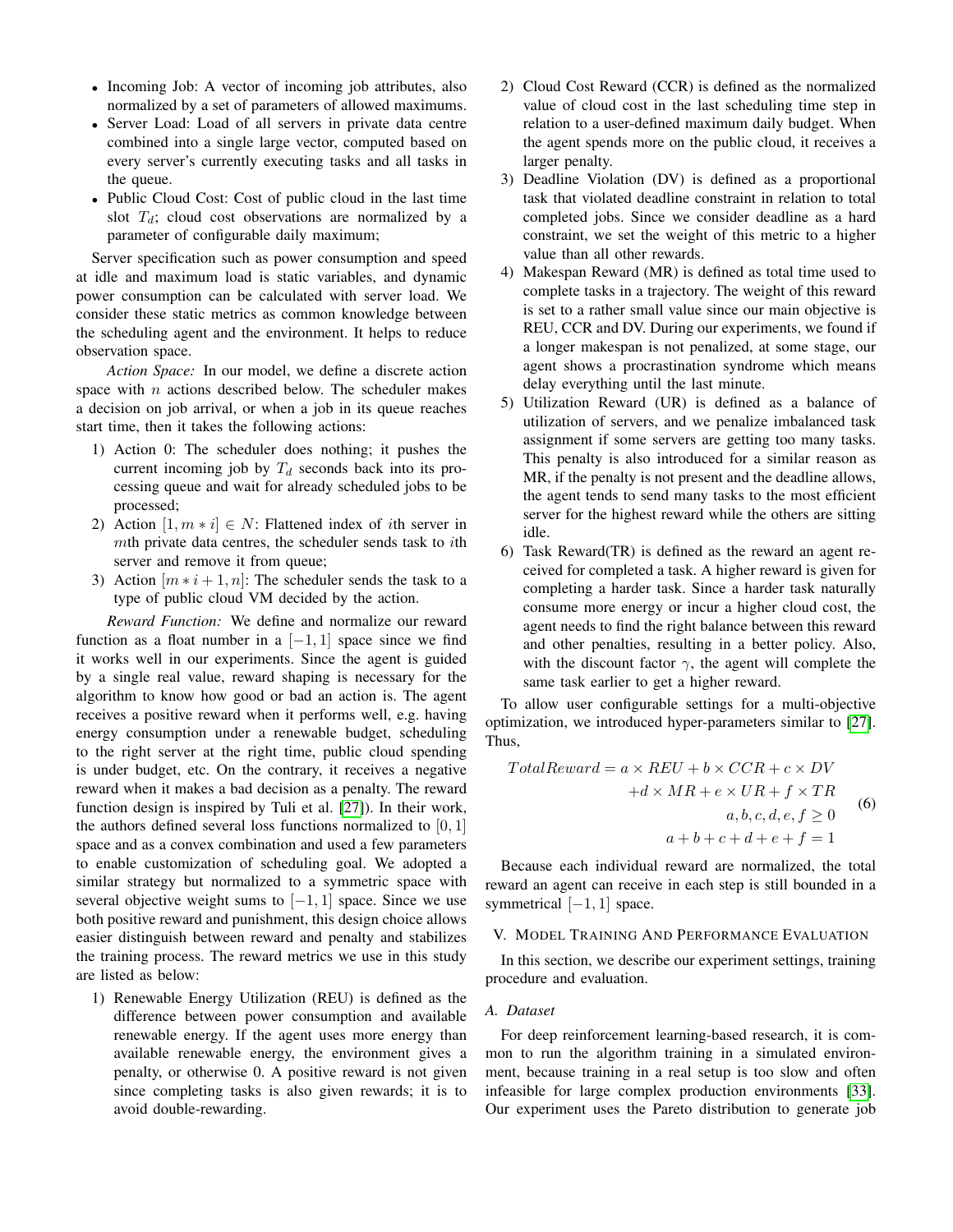- Incoming Job: A vector of incoming job attributes, also normalized by a set of parameters of allowed maximums.
- Server Load: Load of all servers in private data centre combined into a single large vector, computed based on every server's currently executing tasks and all tasks in the queue.
- Public Cloud Cost: Cost of public cloud in the last time slot  $T_d$ ; cloud cost observations are normalized by a parameter of configurable daily maximum;

Server specification such as power consumption and speed at idle and maximum load is static variables, and dynamic power consumption can be calculated with server load. We consider these static metrics as common knowledge between the scheduling agent and the environment. It helps to reduce observation space.

*Action Space:* In our model, we define a discrete action space with  $n$  actions described below. The scheduler makes a decision on job arrival, or when a job in its queue reaches start time, then it takes the following actions:

- 1) Action 0: The scheduler does nothing; it pushes the current incoming job by  $T_d$  seconds back into its processing queue and wait for already scheduled jobs to be processed;
- 2) Action  $[1, m \times i] \in N$ : Flattened index of *i*th server in  $m$ th private data centres, the scheduler sends task to *i*th server and remove it from queue;
- 3) Action  $[m * i + 1, n]$ : The scheduler sends the task to a type of public cloud VM decided by the action.

*Reward Function:* We define and normalize our reward function as a float number in a  $[-1, 1]$  space since we find it works well in our experiments. Since the agent is guided by a single real value, reward shaping is necessary for the algorithm to know how good or bad an action is. The agent receives a positive reward when it performs well, e.g. having energy consumption under a renewable budget, scheduling to the right server at the right time, public cloud spending is under budget, etc. On the contrary, it receives a negative reward when it makes a bad decision as a penalty. The reward function design is inspired by Tuli et al. [\[27\]](#page-8-31)). In their work, the authors defined several loss functions normalized to  $[0, 1]$ space and as a convex combination and used a few parameters to enable customization of scheduling goal. We adopted a similar strategy but normalized to a symmetric space with several objective weight sums to  $[-1, 1]$  space. Since we use both positive reward and punishment, this design choice allows easier distinguish between reward and penalty and stabilizes the training process. The reward metrics we use in this study are listed as below:

1) Renewable Energy Utilization (REU) is defined as the difference between power consumption and available renewable energy. If the agent uses more energy than available renewable energy, the environment gives a penalty, or otherwise 0. A positive reward is not given since completing tasks is also given rewards; it is to avoid double-rewarding.

- 2) Cloud Cost Reward (CCR) is defined as the normalized value of cloud cost in the last scheduling time step in relation to a user-defined maximum daily budget. When the agent spends more on the public cloud, it receives a larger penalty.
- 3) Deadline Violation (DV) is defined as a proportional task that violated deadline constraint in relation to total completed jobs. Since we consider deadline as a hard constraint, we set the weight of this metric to a higher value than all other rewards.
- 4) Makespan Reward (MR) is defined as total time used to complete tasks in a trajectory. The weight of this reward is set to a rather small value since our main objective is REU, CCR and DV. During our experiments, we found if a longer makespan is not penalized, at some stage, our agent shows a procrastination syndrome which means delay everything until the last minute.
- 5) Utilization Reward (UR) is defined as a balance of utilization of servers, and we penalize imbalanced task assignment if some servers are getting too many tasks. This penalty is also introduced for a similar reason as MR, if the penalty is not present and the deadline allows, the agent tends to send many tasks to the most efficient server for the highest reward while the others are sitting idle.
- 6) Task Reward(TR) is defined as the reward an agent received for completed a task. A higher reward is given for completing a harder task. Since a harder task naturally consume more energy or incur a higher cloud cost, the agent needs to find the right balance between this reward and other penalties, resulting in a better policy. Also, with the discount factor  $\gamma$ , the agent will complete the same task earlier to get a higher reward.

To allow user configurable settings for a multi-objective optimization, we introduced hyper-parameters similar to [\[27\]](#page-8-31). Thus,

$$
TotalReward = a \times REU + b \times CCR + c \times DV
$$
  
+ $d \times MR + e \times UR + f \times TR$   
 $a, b, c, d, e, f \ge 0$   
 $a + b + c + d + e + f = 1$  (6)

Because each individual reward are normalized, the total reward an agent can receive in each step is still bounded in a symmetrical  $[-1, 1]$  space.

## <span id="page-5-0"></span>V. MODEL TRAINING AND PERFORMANCE EVALUATION

In this section, we describe our experiment settings, training procedure and evaluation.

## *A. Dataset*

For deep reinforcement learning-based research, it is common to run the algorithm training in a simulated environment, because training in a real setup is too slow and often infeasible for large complex production environments [\[33\]](#page-8-27). Our experiment uses the Pareto distribution to generate job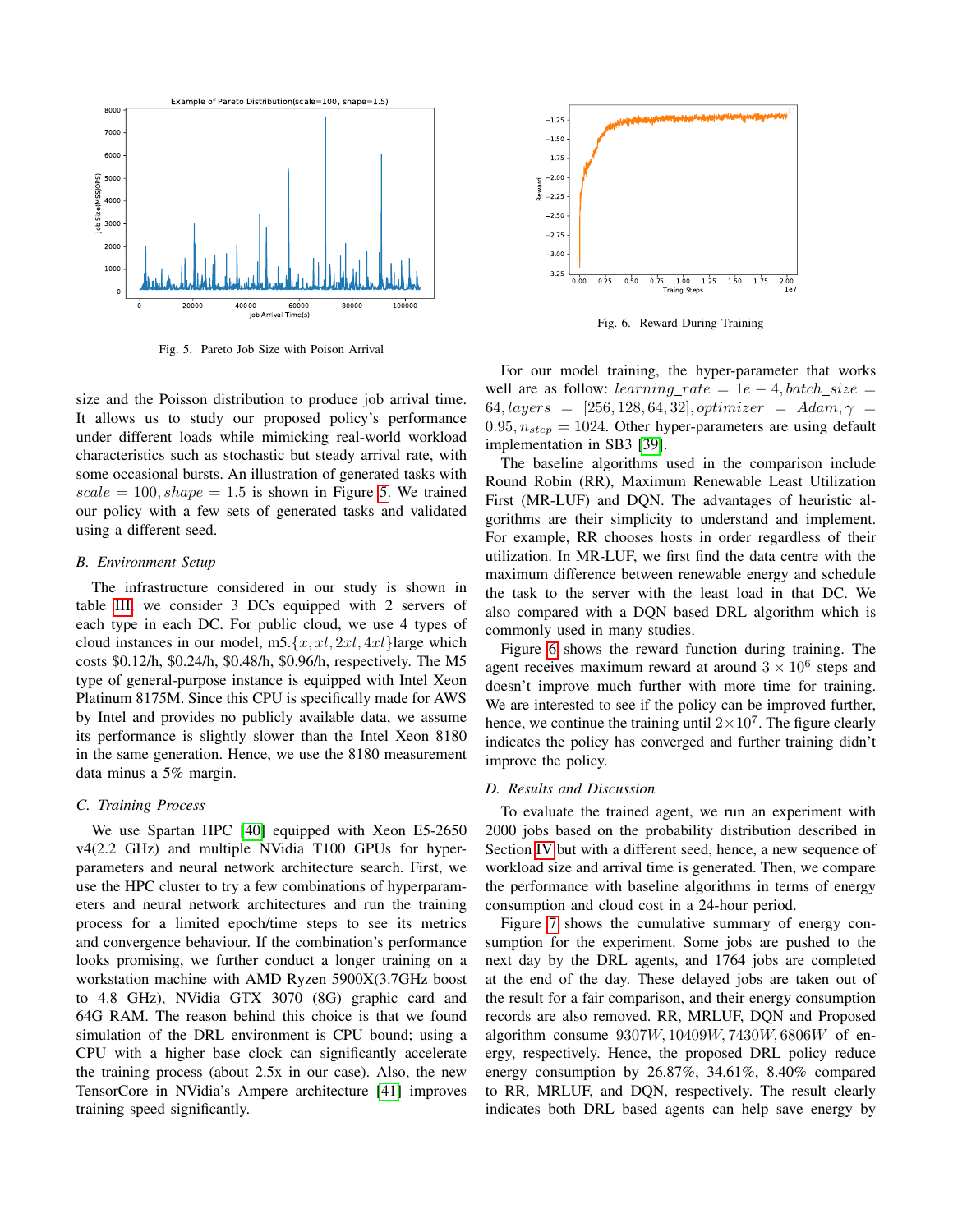

<span id="page-6-0"></span>Fig. 5. Pareto Job Size with Poison Arrival

size and the Poisson distribution to produce job arrival time. It allows us to study our proposed policy's performance under different loads while mimicking real-world workload characteristics such as stochastic but steady arrival rate, with some occasional bursts. An illustration of generated tasks with  $scale = 100, shape = 1.5$  is shown in Figure [5.](#page-6-0) We trained our policy with a few sets of generated tasks and validated using a different seed.

# *B. Environment Setup*

The infrastructure considered in our study is shown in table [III,](#page-7-1) we consider 3 DCs equipped with 2 servers of each type in each DC. For public cloud, we use 4 types of cloud instances in our model, m5. $\{x, x\}, 2x\}, 4x\}$ large which costs \$0.12/h, \$0.24/h, \$0.48/h, \$0.96/h, respectively. The M5 type of general-purpose instance is equipped with Intel Xeon Platinum 8175M. Since this CPU is specifically made for AWS by Intel and provides no publicly available data, we assume its performance is slightly slower than the Intel Xeon 8180 in the same generation. Hence, we use the 8180 measurement data minus a 5% margin.

# *C. Training Process*

We use Spartan HPC [\[40\]](#page-9-2) equipped with Xeon E5-2650 v4(2.2 GHz) and multiple NVidia T100 GPUs for hyperparameters and neural network architecture search. First, we use the HPC cluster to try a few combinations of hyperparameters and neural network architectures and run the training process for a limited epoch/time steps to see its metrics and convergence behaviour. If the combination's performance looks promising, we further conduct a longer training on a workstation machine with AMD Ryzen 5900X(3.7GHz boost to 4.8 GHz), NVidia GTX 3070 (8G) graphic card and 64G RAM. The reason behind this choice is that we found simulation of the DRL environment is CPU bound; using a CPU with a higher base clock can significantly accelerate the training process (about 2.5x in our case). Also, the new TensorCore in NVidia's Ampere architecture [\[41\]](#page-9-3) improves training speed significantly.



<span id="page-6-1"></span>Fig. 6. Reward During Training

For our model training, the hyper-parameter that works well are as follow: learning rate =  $1e - 4$ , batch size =  $64, layers = [256, 128, 64, 32], optimizer = Adam, \gamma =$  $0.95, n_{step} = 1024$ . Other hyper-parameters are using default implementation in SB3 [\[39\]](#page-9-1).

The baseline algorithms used in the comparison include Round Robin (RR), Maximum Renewable Least Utilization First (MR-LUF) and DQN. The advantages of heuristic algorithms are their simplicity to understand and implement. For example, RR chooses hosts in order regardless of their utilization. In MR-LUF, we first find the data centre with the maximum difference between renewable energy and schedule the task to the server with the least load in that DC. We also compared with a DQN based DRL algorithm which is commonly used in many studies.

Figure [6](#page-6-1) shows the reward function during training. The agent receives maximum reward at around  $3 \times 10^6$  steps and doesn't improve much further with more time for training. We are interested to see if the policy can be improved further, hence, we continue the training until  $2 \times 10^7$ . The figure clearly indicates the policy has converged and further training didn't improve the policy.

#### *D. Results and Discussion*

To evaluate the trained agent, we run an experiment with 2000 jobs based on the probability distribution described in Section [IV](#page-4-0) but with a different seed, hence, a new sequence of workload size and arrival time is generated. Then, we compare the performance with baseline algorithms in terms of energy consumption and cloud cost in a 24-hour period.

Figure [7](#page-7-2) shows the cumulative summary of energy consumption for the experiment. Some jobs are pushed to the next day by the DRL agents, and 1764 jobs are completed at the end of the day. These delayed jobs are taken out of the result for a fair comparison, and their energy consumption records are also removed. RR, MRLUF, DQN and Proposed algorithm consume  $9307W$ ,  $10409W$ ,  $7430W$ ,  $6806W$  of energy, respectively. Hence, the proposed DRL policy reduce energy consumption by 26.87%, 34.61%, 8.40% compared to RR, MRLUF, and DQN, respectively. The result clearly indicates both DRL based agents can help save energy by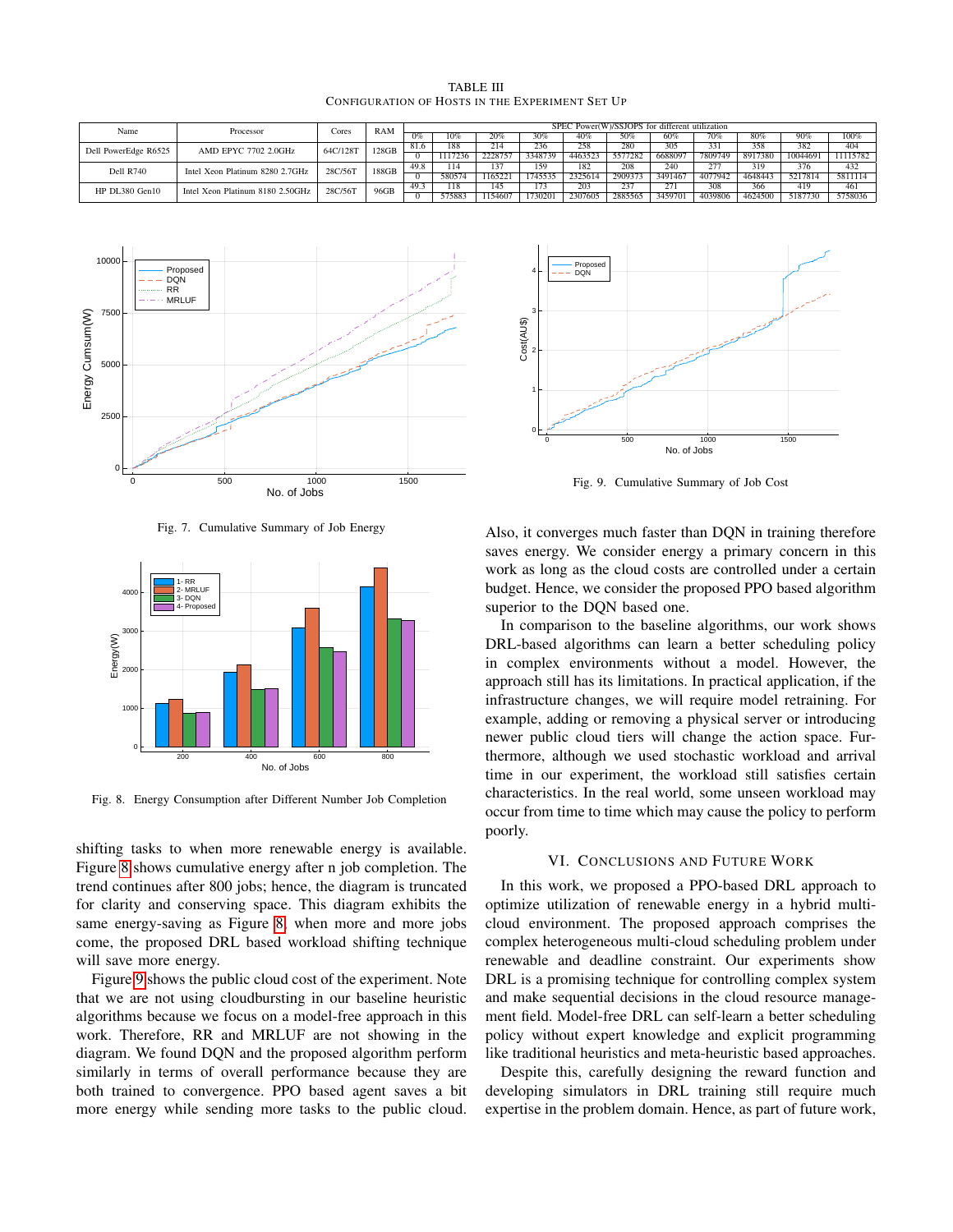TABLE III CONFIGURATION OF HOSTS IN THE EXPERIMENT SET UP

<span id="page-7-1"></span>

| Name                 | Processor                        | Cores    | <b>RAM</b> | SPEC Power(W)/SSJOPS for different utilization |         |         |         |         |         |         |         |         |          |          |
|----------------------|----------------------------------|----------|------------|------------------------------------------------|---------|---------|---------|---------|---------|---------|---------|---------|----------|----------|
|                      |                                  |          |            | 0%                                             | 10%     | 20%     | 30%     | 40%     | 50%     | 60%     | 70%     | 80%     | 90%      | 100%     |
| Dell PowerEdge R6525 | AMD EPYC 7702 2.0GHz             | 64C/128T | 128GB      | 81.6                                           | 188     | 214     | 236     | 258     | 280     | 305     | 331     | 358     | 382      | 404      |
|                      |                                  |          |            |                                                | 1117236 | 2228757 | 3348739 | 4463523 | 5577282 | 6688097 | 7809749 | 8917380 | 10044691 | 11115782 |
| Dell R740            | Intel Xeon Platinum 8280 2.7GHz  | 28C/56T  | 188GB      | 49.8                                           | 114     | 137     | 159     | 182     | 208     | 240     | 277     | 319     | 376      | 432      |
|                      |                                  |          |            |                                                | 58057   | 1165221 | 1745535 | 2325614 | 2909373 | 3491467 | 4077942 | 4648443 | 5217814  | 5811114  |
| HP DL380 Gen10       | Intel Xeon Platinum 8180 2.50GHz | 28C/56T  | 96GB       | 49.3                                           | 118     | 145     | 173     | 203     | 237     | 271     | 308     | 366     | 419      | 461      |
|                      |                                  |          |            |                                                | 575883  | 1154607 | 730201  | 2307605 | 2885565 | 3459701 | 4039806 | 4624500 | 5187730  | 5758036  |



<span id="page-7-2"></span>Fig. 7. Cumulative Summary of Job Energy



<span id="page-7-3"></span>Fig. 8. Energy Consumption after Different Number Job Completion

shifting tasks to when more renewable energy is available. Figure [8](#page-7-3) shows cumulative energy after n job completion. The trend continues after 800 jobs; hence, the diagram is truncated for clarity and conserving space. This diagram exhibits the same energy-saving as Figure [8,](#page-7-3) when more and more jobs come, the proposed DRL based workload shifting technique will save more energy.

Figure [9](#page-7-4) shows the public cloud cost of the experiment. Note that we are not using cloudbursting in our baseline heuristic algorithms because we focus on a model-free approach in this work. Therefore, RR and MRLUF are not showing in the diagram. We found DQN and the proposed algorithm perform similarly in terms of overall performance because they are both trained to convergence. PPO based agent saves a bit more energy while sending more tasks to the public cloud.



<span id="page-7-4"></span>Fig. 9. Cumulative Summary of Job Cost

Also, it converges much faster than DQN in training therefore saves energy. We consider energy a primary concern in this work as long as the cloud costs are controlled under a certain budget. Hence, we consider the proposed PPO based algorithm superior to the DQN based one.

In comparison to the baseline algorithms, our work shows DRL-based algorithms can learn a better scheduling policy in complex environments without a model. However, the approach still has its limitations. In practical application, if the infrastructure changes, we will require model retraining. For example, adding or removing a physical server or introducing newer public cloud tiers will change the action space. Furthermore, although we used stochastic workload and arrival time in our experiment, the workload still satisfies certain characteristics. In the real world, some unseen workload may occur from time to time which may cause the policy to perform poorly.

#### VI. CONCLUSIONS AND FUTURE WORK

<span id="page-7-0"></span>In this work, we proposed a PPO-based DRL approach to optimize utilization of renewable energy in a hybrid multicloud environment. The proposed approach comprises the complex heterogeneous multi-cloud scheduling problem under renewable and deadline constraint. Our experiments show DRL is a promising technique for controlling complex system and make sequential decisions in the cloud resource management field. Model-free DRL can self-learn a better scheduling policy without expert knowledge and explicit programming like traditional heuristics and meta-heuristic based approaches.

Despite this, carefully designing the reward function and developing simulators in DRL training still require much expertise in the problem domain. Hence, as part of future work,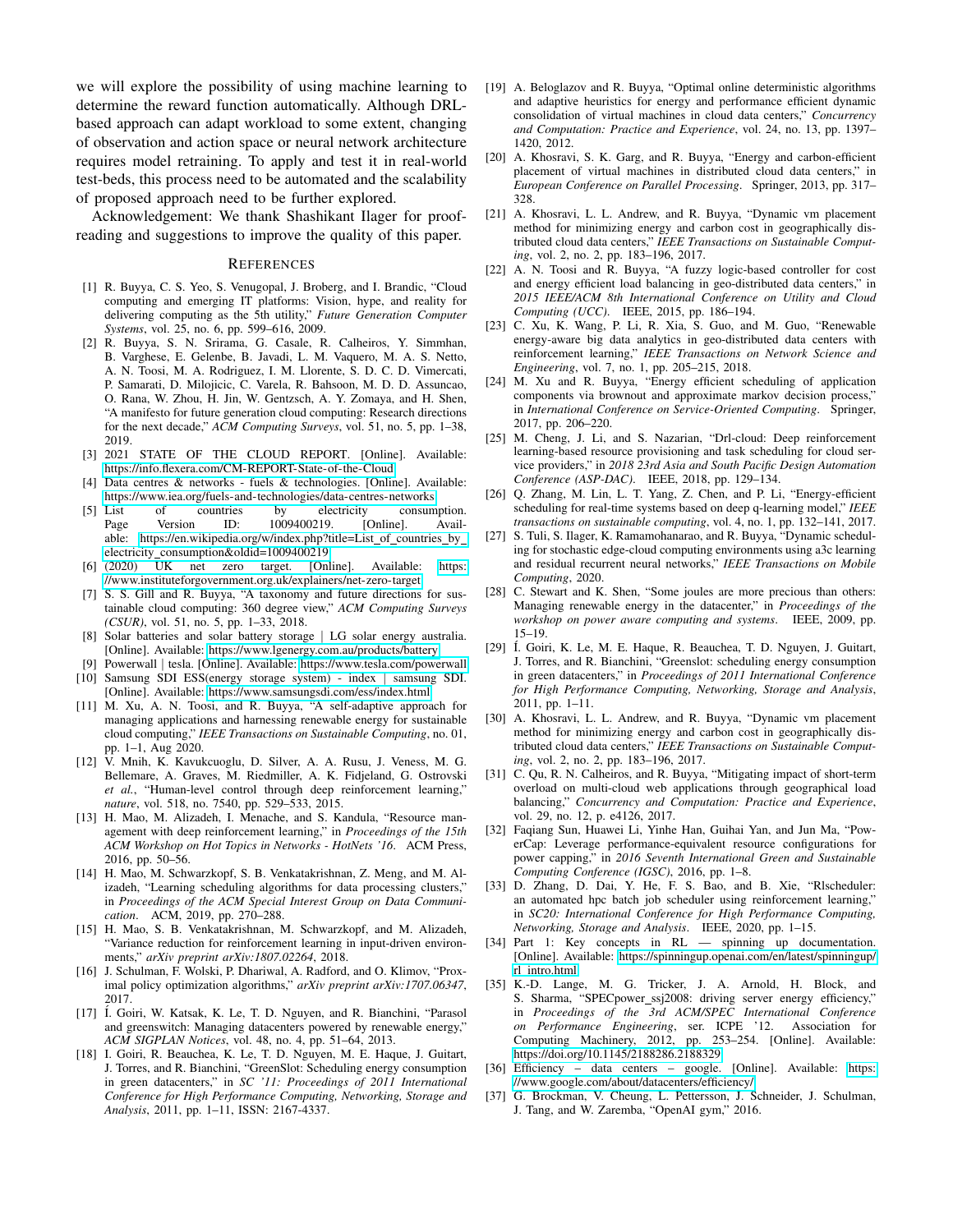we will explore the possibility of using machine learning to determine the reward function automatically. Although DRLbased approach can adapt workload to some extent, changing of observation and action space or neural network architecture requires model retraining. To apply and test it in real-world test-beds, this process need to be automated and the scalability of proposed approach need to be further explored.

Acknowledgement: We thank Shashikant Ilager for proofreading and suggestions to improve the quality of this paper.

#### **REFERENCES**

- <span id="page-8-0"></span>[1] R. Buyya, C. S. Yeo, S. Venugopal, J. Broberg, and I. Brandic, "Cloud computing and emerging IT platforms: Vision, hype, and reality for delivering computing as the 5th utility," *Future Generation Computer Systems*, vol. 25, no. 6, pp. 599–616, 2009.
- <span id="page-8-1"></span>[2] R. Buyya, S. N. Srirama, G. Casale, R. Calheiros, Y. Simmhan, B. Varghese, E. Gelenbe, B. Javadi, L. M. Vaquero, M. A. S. Netto, A. N. Toosi, M. A. Rodriguez, I. M. Llorente, S. D. C. D. Vimercati, P. Samarati, D. Milojicic, C. Varela, R. Bahsoon, M. D. D. Assuncao, O. Rana, W. Zhou, H. Jin, W. Gentzsch, A. Y. Zomaya, and H. Shen, "A manifesto for future generation cloud computing: Research directions for the next decade," *ACM Computing Surveys*, vol. 51, no. 5, pp. 1–38, 2019.
- <span id="page-8-2"></span>[3] 2021 STATE OF THE CLOUD REPORT. [Online]. Available: <https://info.flexera.com/CM-REPORT-State-of-the-Cloud>
- <span id="page-8-3"></span>Data centres  $\&$  networks - fuels  $\&$  technologies. [Online]. Available: <https://www.iea.org/fuels-and-technologies/data-centres-networks><br>List of countries by electricity consum
- <span id="page-8-4"></span>[5] List of countries by electricity consumption. Page Version ID: 1009400219. [Online]. Available: [https://en.wikipedia.org/w/index.php?title=List](https://en.wikipedia.org/w/index.php?title=List_of_countries_by_electricity_consumption&oldid=1009400219)\_of\_countries\_by electricity [consumption&oldid=1009400219](https://en.wikipedia.org/w/index.php?title=List_of_countries_by_electricity_consumption&oldid=1009400219)
- <span id="page-8-5"></span>[6] (2020) UK net zero target. [Online]. Available: [https:](https://www.instituteforgovernment.org.uk/explainers/net-zero-target) [//www.instituteforgovernment.org.uk/explainers/net-zero-target](https://www.instituteforgovernment.org.uk/explainers/net-zero-target)
- <span id="page-8-6"></span>[7] S. S. Gill and R. Buyya, "A taxonomy and future directions for sustainable cloud computing: 360 degree view," *ACM Computing Surveys (CSUR)*, vol. 51, no. 5, pp. 1–33, 2018.
- <span id="page-8-7"></span>[8] Solar batteries and solar battery storage | LG solar energy australia. [Online]. Available:<https://www.lgenergy.com.au/products/battery>
- <span id="page-8-9"></span><span id="page-8-8"></span>[9] Powerwall | tesla. [Online]. Available:<https://www.tesla.com/powerwall> [10] Samsung SDI ESS(energy storage system) - index | samsung SDI. [Online]. Available:<https://www.samsungsdi.com/ess/index.html>
- <span id="page-8-10"></span>[11] M. Xu, A. N. Toosi, and R. Buyya, "A self-adaptive approach for managing applications and harnessing renewable energy for sustainable cloud computing," *IEEE Transactions on Sustainable Computing*, no. 01, pp. 1–1, Aug 2020.
- <span id="page-8-11"></span>[12] V. Mnih, K. Kavukcuoglu, D. Silver, A. A. Rusu, J. Veness, M. G. Bellemare, A. Graves, M. Riedmiller, A. K. Fidjeland, G. Ostrovski *et al.*, "Human-level control through deep reinforcement learning," *nature*, vol. 518, no. 7540, pp. 529–533, 2015.
- <span id="page-8-12"></span>[13] H. Mao, M. Alizadeh, I. Menache, and S. Kandula, "Resource management with deep reinforcement learning," in *Proceedings of the 15th ACM Workshop on Hot Topics in Networks - HotNets '16*. ACM Press, 2016, pp. 50–56.
- [14] H. Mao, M. Schwarzkopf, S. B. Venkatakrishnan, Z. Meng, and M. Alizadeh, "Learning scheduling algorithms for data processing clusters," in *Proceedings of the ACM Special Interest Group on Data Communication*. ACM, 2019, pp. 270–288.
- <span id="page-8-13"></span>[15] H. Mao, S. B. Venkatakrishnan, M. Schwarzkopf, and M. Alizadeh, "Variance reduction for reinforcement learning in input-driven environments," *arXiv preprint arXiv:1807.02264*, 2018.
- <span id="page-8-14"></span>[16] J. Schulman, F. Wolski, P. Dhariwal, A. Radford, and O. Klimov, "Proximal policy optimization algorithms," *arXiv preprint arXiv:1707.06347*, 2017.
- <span id="page-8-17"></span>[17] Í. Goiri, W. Katsak, K. Le, T. D. Nguyen, and R. Bianchini, "Parasol and greenswitch: Managing datacenters powered by renewable energy," *ACM SIGPLAN Notices*, vol. 48, no. 4, pp. 51–64, 2013.
- <span id="page-8-28"></span>[18] I. Goiri, R. Beauchea, K. Le, T. D. Nguyen, M. E. Haque, J. Guitart, J. Torres, and R. Bianchini, "GreenSlot: Scheduling energy consumption in green datacenters," in *SC '11: Proceedings of 2011 International Conference for High Performance Computing, Networking, Storage and Analysis*, 2011, pp. 1–11, ISSN: 2167-4337.
- <span id="page-8-18"></span>[19] A. Beloglazov and R. Buyya, "Optimal online deterministic algorithms and adaptive heuristics for energy and performance efficient dynamic consolidation of virtual machines in cloud data centers," *Concurrency and Computation: Practice and Experience*, vol. 24, no. 13, pp. 1397– 1420, 2012.
- <span id="page-8-19"></span>[20] A. Khosravi, S. K. Garg, and R. Buyya, "Energy and carbon-efficient placement of virtual machines in distributed cloud data centers," in *European Conference on Parallel Processing*. Springer, 2013, pp. 317– 328.
- <span id="page-8-29"></span>[21] A. Khosravi, L. L. Andrew, and R. Buyya, "Dynamic vm placement method for minimizing energy and carbon cost in geographically distributed cloud data centers," *IEEE Transactions on Sustainable Computing*, vol. 2, no. 2, pp. 183–196, 2017.
- <span id="page-8-21"></span>[22] A. N. Toosi and R. Buyya, "A fuzzy logic-based controller for cost and energy efficient load balancing in geo-distributed data centers," in *2015 IEEE/ACM 8th International Conference on Utility and Cloud Computing (UCC)*. IEEE, 2015, pp. 186–194.
- <span id="page-8-23"></span>[23] C. Xu, K. Wang, P. Li, R. Xia, S. Guo, and M. Guo, "Renewable energy-aware big data analytics in geo-distributed data centers with reinforcement learning," *IEEE Transactions on Network Science and Engineering*, vol. 7, no. 1, pp. 205–215, 2018.
- <span id="page-8-24"></span>[24] M. Xu and R. Buyya, "Energy efficient scheduling of application components via brownout and approximate markov decision process," in *International Conference on Service-Oriented Computing*. Springer, 2017, pp. 206–220.
- <span id="page-8-26"></span>[25] M. Cheng, J. Li, and S. Nazarian, "Drl-cloud: Deep reinforcement learning-based resource provisioning and task scheduling for cloud service providers," in *2018 23rd Asia and South Pacific Design Automation Conference (ASP-DAC)*. IEEE, 2018, pp. 129–134.
- <span id="page-8-30"></span>[26] Q. Zhang, M. Lin, L. T. Yang, Z. Chen, and P. Li, "Energy-efficient scheduling for real-time systems based on deep q-learning model," *IEEE transactions on sustainable computing*, vol. 4, no. 1, pp. 132–141, 2017.
- <span id="page-8-31"></span>[27] S. Tuli, S. Ilager, K. Ramamohanarao, and R. Buyya, "Dynamic scheduling for stochastic edge-cloud computing environments using a3c learning and residual recurrent neural networks," *IEEE Transactions on Mobile Computing*, 2020.
- <span id="page-8-15"></span>[28] C. Stewart and K. Shen, "Some joules are more precious than others: Managing renewable energy in the datacenter," in *Proceedings of the workshop on power aware computing and systems*. IEEE, 2009, pp. 15–19.
- <span id="page-8-16"></span>[29] Í. Goiri, K. Le, M. E. Haque, R. Beauchea, T. D. Nguyen, J. Guitart, J. Torres, and R. Bianchini, "Greenslot: scheduling energy consumption in green datacenters," in *Proceedings of 2011 International Conference for High Performance Computing, Networking, Storage and Analysis*, 2011, pp. 1–11.
- <span id="page-8-20"></span>[30] A. Khosravi, L. L. Andrew, and R. Buyya, "Dynamic vm placement method for minimizing energy and carbon cost in geographically distributed cloud data centers," *IEEE Transactions on Sustainable Computing*, vol. 2, no. 2, pp. 183–196, 2017.
- <span id="page-8-22"></span>[31] C. Qu, R. N. Calheiros, and R. Buyya, "Mitigating impact of short-term overload on multi-cloud web applications through geographical load balancing," *Concurrency and Computation: Practice and Experience*, vol. 29, no. 12, p. e4126, 2017.
- <span id="page-8-25"></span>[32] Faqiang Sun, Huawei Li, Yinhe Han, Guihai Yan, and Jun Ma, "PowerCap: Leverage performance-equivalent resource configurations for power capping," in *2016 Seventh International Green and Sustainable Computing Conference (IGSC)*, 2016, pp. 1–8.
- <span id="page-8-27"></span>[33] D. Zhang, D. Dai, Y. He, F. S. Bao, and B. Xie, "Rlscheduler: an automated hpc batch job scheduler using reinforcement learning," in *SC20: International Conference for High Performance Computing, Networking, Storage and Analysis*. IEEE, 2020, pp. 1–15.
- <span id="page-8-32"></span>[34] Part 1: Key concepts in RL — spinning up documentation. [Online]. Available: [https://spinningup.openai.com/en/latest/spinningup/](https://spinningup.openai.com/en/latest/spinningup/rl_intro.html) rl [intro.html](https://spinningup.openai.com/en/latest/spinningup/rl_intro.html)
- <span id="page-8-33"></span>[35] K.-D. Lange, M. G. Tricker, J. A. Arnold, H. Block, and S. Sharma, "SPECpower ssj2008: driving server energy efficiency," in *Proceedings of the 3rd ACM/SPEC International Conference on Performance Engineering*, ser. ICPE '12. Association for Computing Machinery, 2012, pp. 253–254. [Online]. Available: <https://doi.org/10.1145/2188286.2188329>
- <span id="page-8-34"></span>[36] Efficiency – data centers – google. [Online]. Available: [https:](https://www.google.com/about/datacenters/efficiency/) [//www.google.com/about/datacenters/efficiency/](https://www.google.com/about/datacenters/efficiency/)
- <span id="page-8-35"></span>[37] G. Brockman, V. Cheung, L. Pettersson, J. Schneider, J. Schulman, J. Tang, and W. Zaremba, "OpenAI gym," 2016.